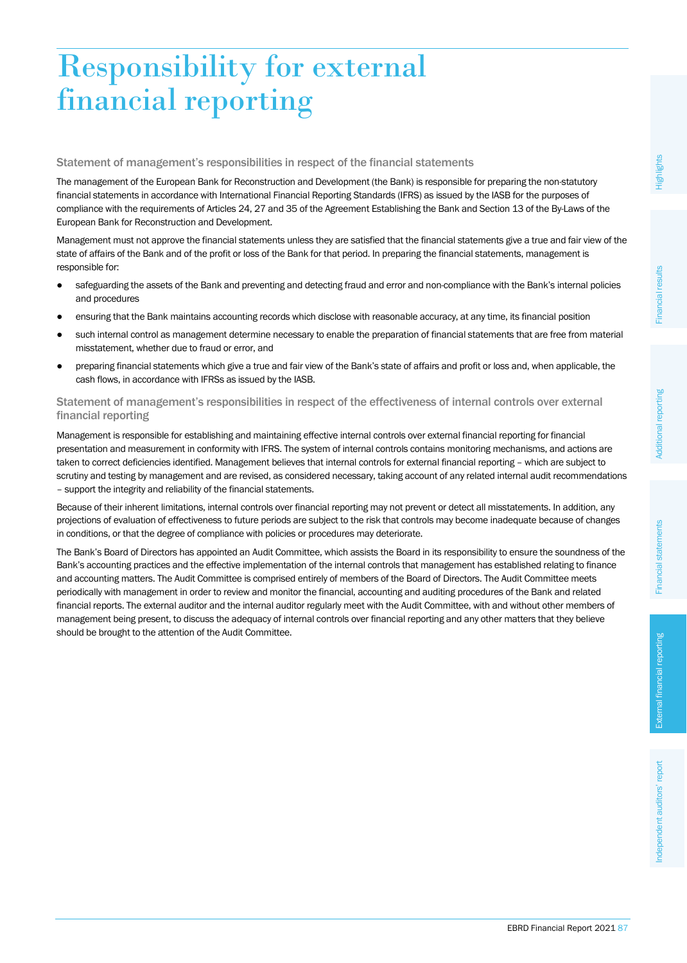#### EBRD Financial Report 2021 87

# Responsibility for external financial reporting

# Statement of management's responsibilities in respect of the financial statements

The management of the European Bank for Reconstruction and Development (the Bank) is responsible for preparing the non-statutory financial statements in accordance with International Financial Reporting Standards (IFRS) as issued by the IASB for the purposes of compliance with the requirements of Articles 24, 27 and 35 of the Agreement Establishing the Bank and Section 13 of the By-Laws of the European Bank for Reconstruction and Development.

Management must not approve the financial statements unless they are satisfied that the financial statements give a true and fair view of the state of affairs of the Bank and of the profit or loss of the Bank for that period. In preparing the financial statements, management is responsible for:

- safeguarding the assets of the Bank and preventing and detecting fraud and error and non-compliance with the Bank's internal policies and procedures
- ensuring that the Bank maintains accounting records which disclose with reasonable accuracy, at any time, its financial position
- such internal control as management determine necessary to enable the preparation of financial statements that are free from material misstatement, whether due to fraud or error, and
- preparing financial statements which give a true and fair view of the Bank's state of affairs and profit or loss and, when applicable, the cash flows, in accordance with IFRSs as issued by the IASB.

# Statement of management's responsibilities in respect of the effectiveness of internal controls over external financial reporting

Management is responsible for establishing and maintaining effective internal controls over external financial reporting for financial presentation and measurement in conformity with IFRS. The system of internal controls contains monitoring mechanisms, and actions are taken to correct deficiencies identified. Management believes that internal controls for external financial reporting – which are subject to scrutiny and testing by management and are revised, as considered necessary, taking account of any related internal audit recommendations – support the integrity and reliability of the financial statements.

Because of their inherent limitations, internal controls over financial reporting may not prevent or detect all misstatements. In addition, any projections of evaluation of effectiveness to future periods are subject to the risk that controls may become inadequate because of changes in conditions, or that the degree of compliance with policies or procedures may deteriorate.

The Bank's Board of Directors has appointed an Audit Committee, which assists the Board in its responsibility to ensure the soundness of the Bank's accounting practices and the effective implementation of the internal controls that management has established relating to finance and accounting matters. The Audit Committee is comprised entirely of members of the Board of Directors. The Audit Committee meets periodically with management in order to review and monitor the financial, accounting and auditing procedures of the Bank and related financial reports. The external auditor and the internal auditor regularly meet with the Audit Committee, with and without other members of management being present, to discuss the adequacy of internal controls over financial reporting and any other matters that they believe should be brought to the attention of the Audit Committee.

Financial results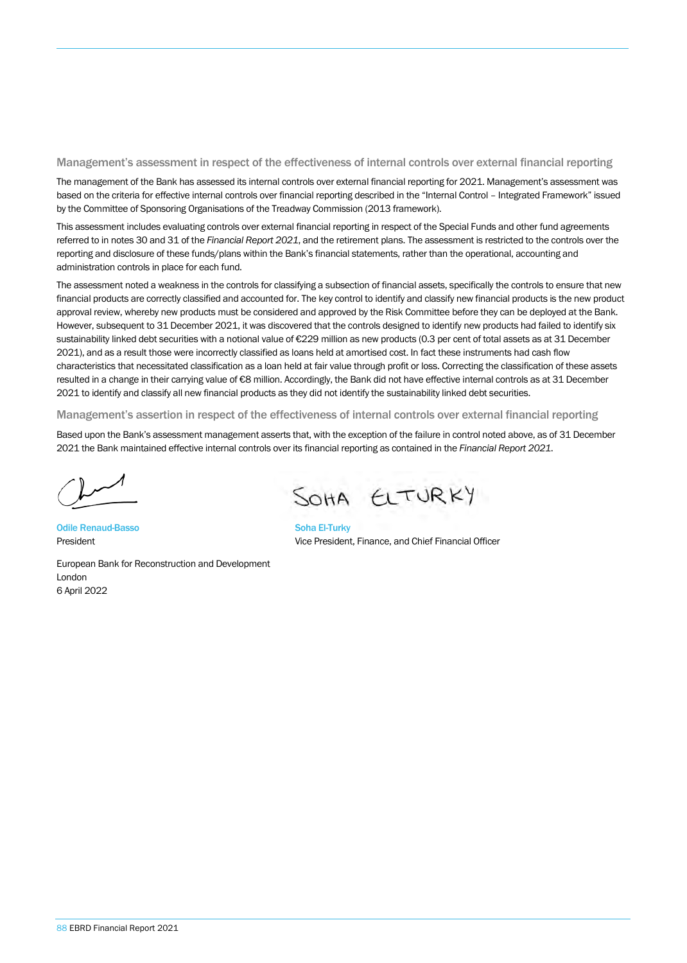#### Management's assessment in respect of the effectiveness of internal controls over external financial reporting

The management of the Bank has assessed its internal controls over external financial reporting for 2021. Management's assessment was based on the criteria for effective internal controls over financial reporting described in the "Internal Control – Integrated Framework" issued by the Committee of Sponsoring Organisations of the Treadway Commission (2013 framework).

This assessment includes evaluating controls over external financial reporting in respect of the Special Funds and other fund agreements referred to in notes 30 and 31 of the *Financial Report 2021*, and the retirement plans. The assessment is restricted to the controls over the reporting and disclosure of these funds/plans within the Bank's financial statements, rather than the operational, accounting and administration controls in place for each fund.

The assessment noted a weakness in the controls for classifying a subsection of financial assets, specifically the controls to ensure that new financial products are correctly classified and accounted for. The key control to identify and classify new financial products is the new product approval review, whereby new products must be considered and approved by the Risk Committee before they can be deployed at the Bank. However, subsequent to 31 December 2021, it was discovered that the controls designed to identify new products had failed to identify six sustainability linked debt securities with a notional value of €229 million as new products (0.3 per cent of total assets as at 31 December 2021), and as a result those were incorrectly classified as loans held at amortised cost. In fact these instruments had cash flow characteristics that necessitated classification as a loan held at fair value through profit or loss. Correcting the classification of these assets resulted in a change in their carrying value of €8 million. Accordingly, the Bank did not have effective internal controls as at 31 December 2021 to identify and classify all new financial products as they did not identify the sustainability linked debt securities.

Management's assertion in respect of the effectiveness of internal controls over external financial reporting

Based upon the Bank's assessment management asserts that, with the exception of the failure in control noted above, as of 31 December 2021 the Bank maintained effective internal controls over its financial reporting as contained in the *Financial Report 2021*.

Odile Renaud-Basso President

European Bank for Reconstruction and Development London 6 April 2022

SOHA ELTURKY

Soha El-Turky Vice President, Finance, and Chief Financial Officer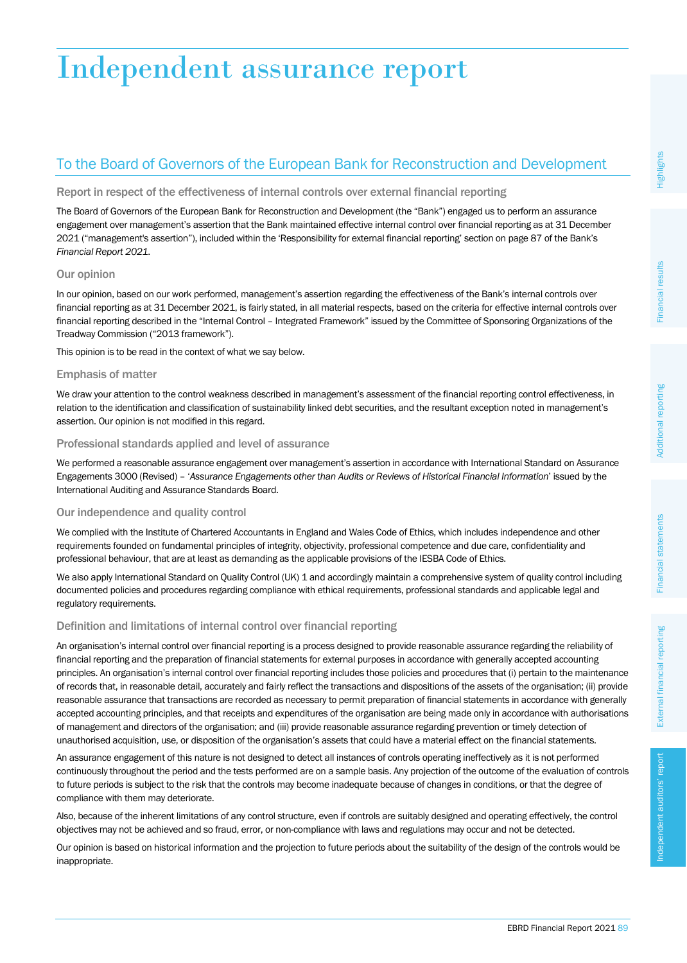# Independent assurance report

# To the Board of Governors of the European Bank for Reconstruction and Development

### Report in respect of the effectiveness of internal controls over external financial reporting

The Board of Governors of the European Bank for Reconstruction and Development (the "Bank") engaged us to perform an assurance engagement over management's assertion that the Bank maintained effective internal control over financial reporting as at 31 December 2021 ("management's assertion"), included within the 'Responsibility for external financial reporting' section on page 87 of the Bank's *Financial Report 2021*.

## Our opinion

In our opinion, based on our work performed, management's assertion regarding the effectiveness of the Bank's internal controls over financial reporting as at 31 December 2021, is fairly stated, in all material respects, based on the criteria for effective internal controls over financial reporting described in the "Internal Control – Integrated Framework" issued by the Committee of Sponsoring Organizations of the Treadway Commission ("2013 framework").

This opinion is to be read in the context of what we say below.

## Emphasis of matter

We draw your attention to the control weakness described in management's assessment of the financial reporting control effectiveness, in relation to the identification and classification of sustainability linked debt securities, and the resultant exception noted in management's assertion. Our opinion is not modified in this regard.

#### Professional standards applied and level of assurance

We performed a reasonable assurance engagement over management's assertion in accordance with International Standard on Assurance Engagements 3000 (Revised) – '*Assurance Engagements other than Audits or Reviews of Historical Financial Information*' issued by the International Auditing and Assurance Standards Board.

# Our independence and quality control

We complied with the Institute of Chartered Accountants in England and Wales Code of Ethics, which includes independence and other requirements founded on fundamental principles of integrity, objectivity, professional competence and due care, confidentiality and professional behaviour, that are at least as demanding as the applicable provisions of the IESBA Code of Ethics.

We also apply International Standard on Quality Control (UK) 1 and accordingly maintain a comprehensive system of quality control including documented policies and procedures regarding compliance with ethical requirements, professional standards and applicable legal and regulatory requirements.

# Definition and limitations of internal control over financial reporting

An organisation's internal control over financial reporting is a process designed to provide reasonable assurance regarding the reliability of financial reporting and the preparation of financial statements for external purposes in accordance with generally accepted accounting principles. An organisation's internal control over financial reporting includes those policies and procedures that (i) pertain to the maintenance of records that, in reasonable detail, accurately and fairly reflect the transactions and dispositions of the assets of the organisation; (ii) provide reasonable assurance that transactions are recorded as necessary to permit preparation of financial statements in accordance with generally accepted accounting principles, and that receipts and expenditures of the organisation are being made only in accordance with authorisations of management and directors of the organisation; and (iii) provide reasonable assurance regarding prevention or timely detection of unauthorised acquisition, use, or disposition of the organisation's assets that could have a material effect on the financial statements.

An assurance engagement of this nature is not designed to detect all instances of controls operating ineffectively as it is not performed continuously throughout the period and the tests performed are on a sample basis. Any projection of the outcome of the evaluation of controls to future periods is subject to the risk that the controls may become inadequate because of changes in conditions, or that the degree of compliance with them may deteriorate.

Also, because of the inherent limitations of any control structure, even if controls are suitably designed and operating effectively, the control objectives may not be achieved and so fraud, error, or non-compliance with laws and regulations may occur and not be detected.

Our opinion is based on historical information and the projection to future periods about the suitability of the design of the controls would be inappropriate.